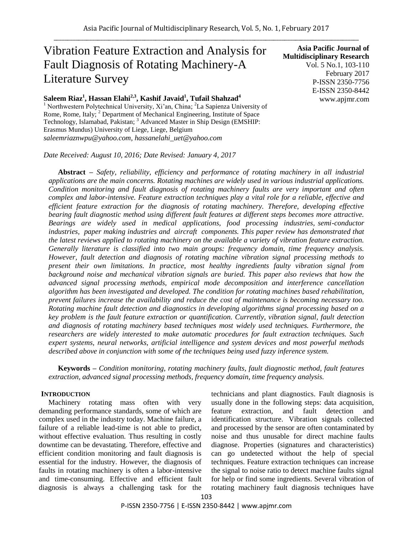# Vibration Feature Extraction and Analysis for Fault Diagnosis of Rotating Machinery-A Literature Survey

## **Saleem Riaz<sup>1</sup> , Hassan Elahi2,3 , Kashif Javaid 1 , Tufail Shahzad<sup>4</sup>**

<sup>1</sup> Northwestern Polytechnical University, Xi'an, China; <sup>2</sup>La Sapienza University of Rome, Rome, Italy; <sup>2</sup> Department of Mechanical Engineering, Institute of Space Technology, Islamabad, Pakistan; <sup>3</sup> Advanced Master in Ship Design (EMSHIP: Erasmus Mundus) University of Liege, Liege, Belgium *saleemriaznwpu@yahoo.com, hassanelahi\_uet@yahoo.com*

*Date Received: August 10, 2016; Date Revised: January 4, 2017*

**Abstract –** *Safety, reliability, efficiency and performance of rotating machinery in all industrial applications are the main concerns. Rotating machines are widely used in various industrial applications. Condition monitoring and fault diagnosis of rotating machinery faults are very important and often complex and labor-intensive. Feature extraction techniques play a vital role for a reliable, effective and efficient feature extraction for the diagnosis of rotating machinery. Therefore, developing effective bearing fault diagnostic method using different fault features at different steps becomes more attractive. Bearings are widely used in medical applications, food processing industries, semi-conductor industries, paper making industries and aircraft components. This paper review has demonstrated that the latest reviews applied to rotating machinery on the available a variety of vibration feature extraction. Generally literature is classified into two main groups: frequency domain, time frequency analysis. However, fault detection and diagnosis of rotating machine vibration signal processing methods to present their own limitations. In practice, most healthy ingredients faulty vibration signal from background noise and mechanical vibration signals are buried. This paper also reviews that how the advanced signal processing methods, empirical mode decomposition and interference cancellation algorithm has been investigated and developed. The condition for rotating machines based rehabilitation, prevent failures increase the availability and reduce the cost of maintenance is becoming necessary too. Rotating machine fault detection and diagnostics in developing algorithms signal processing based on a key problem is the fault feature extraction or quantification. Currently, vibration signal, fault detection and diagnosis of rotating machinery based techniques most widely used techniques. Furthermore, the researchers are widely interested to make automatic procedures for fault extraction techniques. Such expert systems, neural networks, artificial intelligence and system devices and most powerful methods described above in conjunction with some of the techniques being used fuzzy inference system.*

**Keywords –** *Condition monitoring, rotating machinery faults, fault diagnostic method, fault features extraction, advanced signal processing methods, frequency domain, time frequency analysis.*

## **INTRODUCTION**

Machinery rotating mass often with very demanding performance standards, some of which are complex used in the industry today. Machine failure, a failure of a reliable lead-time is not able to predict, without effective evaluation. Thus resulting in costly downtime can be devastating. Therefore, effective and efficient condition monitoring and fault diagnosis is essential for the industry. However, the diagnosis of faults in rotating machinery is often a labor-intensive and time-consuming. Effective and efficient fault diagnosis is always a challenging task for the technicians and plant diagnostics. Fault diagnosis is usually done in the following steps: data acquisition, feature extraction, and fault detection and identification structure. Vibration signals collected and processed by the sensor are often contaminated by noise and thus unusable for direct machine faults diagnose. Properties (signatures and characteristics) can go undetected without the help of special techniques. Feature extraction techniques can increase the signal to noise ratio to detect machine faults signal for help or find some ingredients. Several vibration of rotating machinery fault diagnosis techniques have

**Asia Pacific Journal of Multidisciplinary Research** Vol. 5 No.1, 103-110 February 2017 P-ISSN 2350-7756 E-ISSN 2350-8442 www.apjmr.com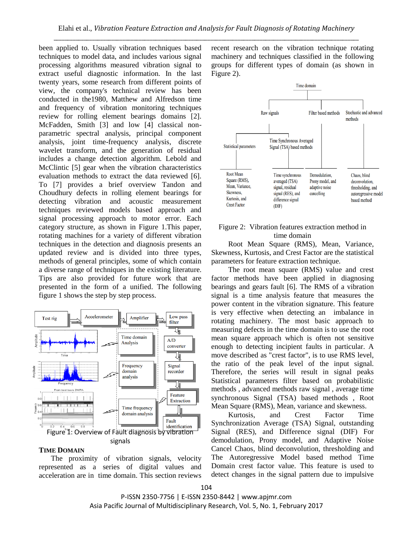been applied to. Usually vibration techniques based techniques to model data, and includes various signal processing algorithms measured vibration signal to extract useful diagnostic information. In the last twenty years, some research from different points of view, the company's technical review has been conducted in the1980, Matthew and Alfredson time and frequency of vibration monitoring techniques review for rolling element bearings domains [2]. McFadden, Smith [3] and low [4] classical nonparametric spectral analysis, principal component analysis, joint time-frequency analysis, discrete wavelet transform, and the generation of residual includes a change detection algorithm. Lebold and McClintic [5] gear when the vibration characteristics evaluation methods to extract the data reviewed [6]. To [7] provides a brief overview Tandon and Choudhury defects in rolling element bearings for detecting vibration and acoustic measurement techniques reviewed models based approach and signal processing approach to motor error. Each category structure, as shown in Figure 1.This paper, rotating machines for a variety of different vibration techniques in the detection and diagnosis presents an updated review and is divided into three types, methods of general principles, some of which contain a diverse range of techniques in the existing literature. Tips are also provided for future work that are presented in the form of a unified. The following figure 1 shows the step by step process.



#### **TIME DOMAIN**

The proximity of vibration signals, velocity represented as a series of digital values and acceleration are in time domain. This section reviews recent research on the vibration technique rotating machinery and techniques classified in the following groups for different types of domain (as shown in Figure 2).



## Figure 2: Vibration features extraction method in time domain

 Root Mean Square (RMS), Mean, Variance, Skewness, Kurtosis, and Crest Factor are the statistical parameters for feature extraction technique.

 The root mean square (RMS) value and crest factor methods have been applied in diagnosing bearings and gears fault [6]. The RMS of a vibration signal is a time analysis feature that measures the power content in the vibration signature. This feature is very effective when detecting an imbalance in rotating machinery. The most basic approach to measuring defects in the time domain is to use the root mean square approach which is often not sensitive enough to detecting incipient faults in particular. A move described as "crest factor", is to use RMS level, the ratio of the peak level of the input signal. Therefore, the series will result in signal peaks Statistical parameters filter based on probabilistic methods , advanced methods raw signal , average time synchronous Signal (TSA) based methods , Root Mean Square (RMS), Mean, variance and skewness.

 Kurtosis, and Crest Factor Time Synchronization Average (TSA) Signal, outstanding Signal (RES), and Difference signal (DIF) For demodulation, Prony model, and Adaptive Noise Cancel Chaos, blind deconvolution, thresholding and The Autoregressive Model based method Time Domain crest factor value. This feature is used to detect changes in the signal pattern due to impulsive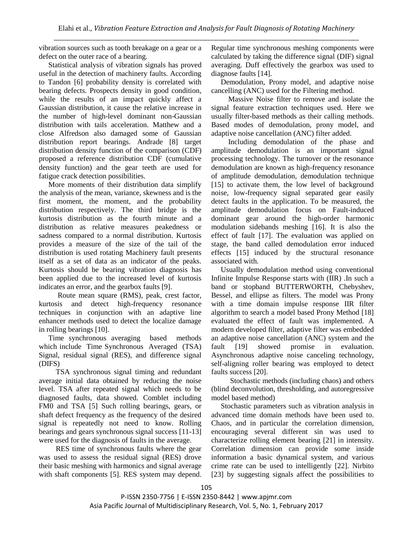vibration sources such as tooth breakage on a gear or a defect on the outer race of a bearing.

Statistical analysis of vibration signals has proved useful in the detection of machinery faults. According to Tandon [6] probability density is correlated with bearing defects. Prospects density in good condition, while the results of an impact quickly affect a Gaussian distribution, it cause the relative increase in the number of high-level dominant non-Gaussian distribution with tails acceleration. Matthew and a close Alfredson also damaged some of Gaussian distribution report bearings. Andrade [8] target distribution density function of the comparison (CDF) proposed a reference distribution CDF (cumulative density function) and the gear teeth are used for fatigue crack detection possibilities.

More moments of their distribution data simplify the analysis of the mean, variance, skewness and is the first moment, the moment, and the probability distribution respectively. The third bridge is the kurtosis distribution as the fourth minute and a distribution as relative measures peakedness or sadness compared to a normal distribution. Kurtosis provides a measure of the size of the tail of the distribution is used rotating Machinery fault presents itself as a set of data as an indicator of the peaks. Kurtosis should be bearing vibration diagnosis has been applied due to the increased level of kurtosis indicates an error, and the gearbox faults [9].

 Route mean square (RMS), peak, crest factor, kurtosis and detect high-frequency resonance techniques in conjunction with an adaptive line enhancer methods used to detect the localize damage in rolling bearings [10].

Time synchronous averaging based methods which include Time Synchronous Averaged (TSA) Signal, residual signal (RES), and difference signal (DIFS)

 TSA synchronous signal timing and redundant average initial data obtained by reducing the noise level. TSA after repeated signal which needs to be diagnosed faults, data showed. Comblet including FM0 and TSA [5] Such rolling bearings, gears, or shaft defect frequency as the frequency of the desired signal is repeatedly not need to know. Rolling bearings and gears synchronous signal success [11-13] were used for the diagnosis of faults in the average.

 RES time of synchronous faults where the gear was used to assess the residual signal (RES) drove their basic meshing with harmonics and signal average with shaft components [5]. RES system may depend. Regular time synchronous meshing components were calculated by taking the difference signal (DIF) signal averaging. Duff effectively the gearbox was used to diagnose faults [14].

Demodulation, Prony model, and adaptive noise cancelling (ANC) used for the Filtering method.

 Massive Noise filter to remove and isolate the signal feature extraction techniques used. Here we usually filter-based methods as their calling methods. Based modes of demodulation, prony model, and adaptive noise cancellation (ANC) filter added.

 Including demodulation of the phase and amplitude demodulation is an important signal processing technology. The turnover or the resonance demodulation are known as high-frequency resonance of amplitude demodulation, demodulation technique [15] to activate them, the low level of background noise, low-frequency signal separated gear easily detect faults in the application. To be measured, the amplitude demodulation focus on Fault-induced dominant gear around the high-order harmonic modulation sidebands meshing [16]. It is also the effect of fault [17]. The evaluation was applied on stage, the band called demodulation error induced effects [15] induced by the structural resonance associated with.

Usually demodulation method using conventional Infinite Impulse Response starts with (IIR) .In such a band or stopband BUTTERWORTH, Chebyshev, Bessel, and ellipse as filters. The model was Prony with a time domain impulse response IIR filter algorithm to search a model based Prony Method [18] evaluated the effect of fault was implemented. A modern developed filter, adaptive filter was embedded an adaptive noise cancellation (ANC) system and the fault [19] showed promise in evaluation. Asynchronous adaptive noise canceling technology, self-aligning roller bearing was employed to detect faults success [20].

 Stochastic methods (including chaos) and others (blind deconvolution, thresholding, and autoregressive model based method)

Stochastic parameters such as vibration analysis in advanced time domain methods have been used to. Chaos, and in particular the correlation dimension, encouraging several different sin was used to characterize rolling element bearing [21] in intensity. Correlation dimension can provide some inside information a basic dynamical system, and various crime rate can be used to intelligently [22]. Nirbito [23] by suggesting signals affect the possibilities to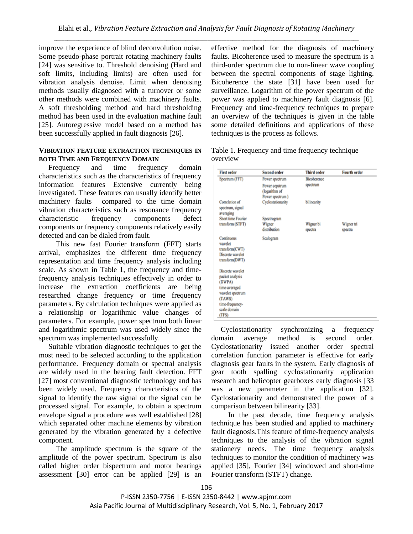improve the experience of blind deconvolution noise. Some pseudo-phase portrait rotating machinery faults [24] was sensitive to. Threshold denoising (Hard and soft limits, including limits) are often used for vibration analysis denoise. Limit when denoising methods usually diagnosed with a turnover or some other methods were combined with machinery faults. A soft thresholding method and hard thresholding method has been used in the evaluation machine fault [25]. Autoregressive model based on a method has been successfully applied in fault diagnosis [26].

## **VIBRATION FEATURE EXTRACTION TECHNIQUES IN BOTH TIME AND FREQUENCY DOMAIN**

Frequency and time frequency domain characteristics such as the characteristics of frequency information features Extensive currently being investigated. These features can usually identify better machinery faults compared to the time domain vibration characteristics such as resonance frequency characteristic frequency components defect components or frequency components relatively easily detected and can be dialed from fault.

 This new fast Fourier transform (FFT) starts arrival, emphasizes the different time frequency representation and time frequency analysis including scale. As shown in Table 1, the frequency and timefrequency analysis techniques effectively in order to increase the extraction coefficients are being researched change frequency or time frequency parameters. By calculation techniques were applied as a relationship or logarithmic value changes of parameters. For example, power spectrum both linear and logarithmic spectrum was used widely since the spectrum was implemented successfully.

Suitable vibration diagnostic techniques to get the most need to be selected according to the application performance. Frequency domain or spectral analysis are widely used in the bearing fault detection. FFT [27] most conventional diagnostic technology and has been widely used. Frequency characteristics of the signal to identify the raw signal or the signal can be processed signal. For example, to obtain a spectrum envelope signal a procedure was well established [28] which separated other machine elements by vibration generated by the vibration generated by a defective component.

 The amplitude spectrum is the square of the amplitude of the power spectrum. Spectrum is also called higher order bispectrum and motor bearings assessment [30] error can be applied [29] is an effective method for the diagnosis of machinery faults. Bicoherence used to measure the spectrum is a third-order spectrum due to non-linear wave coupling between the spectral components of stage lighting. Bicoherence the state [31] have been used for surveillance. Logarithm of the power spectrum of the power was applied to machinery fault diagnosis [6]. Frequency and time-frequency techniques to prepare an overview of the techniques is given in the table some detailed definitions and applications of these techniques is the process as follows.

| <b>First order</b>                                                            | <b>Second order</b>                                | <b>Third order</b> | <b>Fourth order</b> |
|-------------------------------------------------------------------------------|----------------------------------------------------|--------------------|---------------------|
| Spectrum (FFT)                                                                | Power spectrum                                     | <b>Bicoherence</b> |                     |
|                                                                               | Power cepstrum<br>(logarithm of<br>Power spectrum) | spectrum           |                     |
| Correlation of<br>spectrum, signal<br>averaging                               | Cyclostationarity                                  | bilinearity        |                     |
| Short time Fourier                                                            | Spectrogram                                        |                    |                     |
| transform (STFT)                                                              | Wigner                                             | Wigner bi          | Wigner tri          |
|                                                                               | distribution                                       | spectra            | spectra             |
| Continuous<br>wavelet<br>transform(CWT)<br>Discrete wavelet<br>transform(DWT) | Scalogram                                          |                    |                     |
| Discrete wavelet<br>packet analysis<br>(DWPA)                                 |                                                    |                    |                     |
| time-averaged<br>wavelet spectrum                                             |                                                    |                    |                     |
| (TAWS)                                                                        |                                                    |                    |                     |
| time-frequency-                                                               |                                                    |                    |                     |
| scale domain                                                                  |                                                    |                    |                     |
| (TFS)                                                                         |                                                    |                    |                     |

Table 1. Frequency and time frequency technique overview

Cyclostationarity synchronizing a frequency domain average method is second order. Cyclostationarity issued another order spectral correlation function parameter is effective for early diagnosis gear faults in the system. Early diagnosis of gear tooth spalling cyclostationarity application research and helicopter gearboxes early diagnosis [33 was a new parameter in the application [32]. Cyclostationarity and demonstrated the power of a comparison between bilinearity [33].

 In the past decade, time frequency analysis technique has been studied and applied to machinery fault diagnosis.This feature of time-frequency analysis techniques to the analysis of the vibration signal stationery needs. The time frequency analysis techniques to monitor the condition of machinery was applied [35], Fourier [34] windowed and short-time Fourier transform (STFT) change.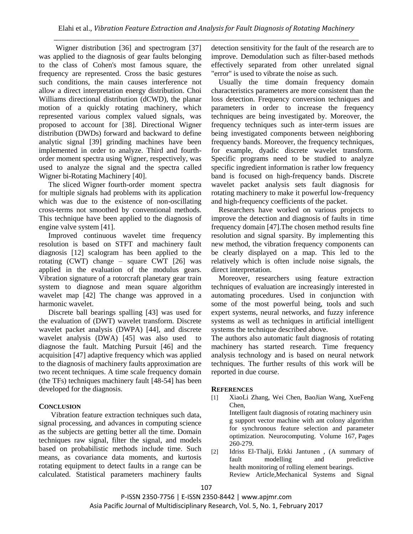Wigner distribution [36] and spectrogram [37] was applied to the diagnosis of gear faults belonging to the class of Cohen's most famous square, the frequency are represented. Cross the basic gestures such conditions, the main causes interference not allow a direct interpretation energy distribution. Choi Williams directional distribution (dCWD), the planar motion of a quickly rotating machinery, which represented various complex valued signals, was proposed to account for [38]. Directional Wigner distribution (DWDs) forward and backward to define analytic signal [39] grinding machines have been implemented in order to analyze. Third and fourthorder moment spectra using Wigner, respectively, was used to analyze the signal and the spectra called Wigner bi-Rotating Machinery [40].

The sliced Wigner fourth-order moment spectra for multiple signals had problems with its application which was due to the existence of non-oscillating cross-terms not smoothed by conventional methods. This technique have been applied to the diagnosis of engine valve system [41].

Improved continuous wavelet time frequency resolution is based on STFT and machinery fault diagnosis [12] scalogram has been applied to the rotating (CWT) change – square CWT [26] was applied in the evaluation of the modulus gears. Vibration signature of a rotorcraft planetary gear train system to diagnose and mean square algorithm wavelet map [42] The change was approved in a harmonic wavelet.

Discrete ball bearings spalling [43] was used for the evaluation of (DWT) wavelet transform. Discrete wavelet packet analysis (DWPA) [44], and discrete wavelet analysis (DWA) [45] was also used to diagnose the fault. Matching Pursuit [46] and the acquisition [47] adaptive frequency which was applied to the diagnosis of machinery faults approximation are two recent techniques. A time scale frequency domain (the TFs) techniques machinery fault [48-54] has been developed for the diagnosis.

## **CONCLUSION**

Vibration feature extraction techniques such data, signal processing, and advances in computing science as the subjects are getting better all the time. Domain techniques raw signal, filter the signal, and models based on probabilistic methods include time. Such means, as covariance data moments, and kurtosis rotating equipment to detect faults in a range can be calculated. Statistical parameters machinery faults

detection sensitivity for the fault of the research are to improve. Demodulation such as filter-based methods effectively separated from other unrelated signal "error" is used to vibrate the noise as such.

 Usually the time domain frequency domain characteristics parameters are more consistent than the loss detection. Frequency conversion techniques and parameters in order to increase the frequency techniques are being investigated by. Moreover, the frequency techniques such as inter-term issues are being investigated components between neighboring frequency bands. Moreover, the frequency techniques, for example, dyadic discrete wavelet transform. Specific programs need to be studied to analyze specific ingredient information is rather low frequency band is focused on high-frequency bands. Discrete wavelet packet analysis sets fault diagnosis for rotating machinery to make it powerful low-frequency and high-frequency coefficients of the packet.

 Researchers have worked on various projects to improve the detection and diagnosis of faults in time frequency domain [47].The chosen method results fine resolution and signal sparsity. By implementing this new method, the vibration frequency components can be clearly displayed on a map. This led to the relatively which is often include noise signals, the direct interpretation.

 Moreover, researchers using feature extraction techniques of evaluation are increasingly interested in automating procedures. Used in conjunction with some of the most powerful being, tools and such expert systems, neural networks, and fuzzy inference systems as well as techniques in artificial intelligent systems the technique described above.

The authors also automatic fault diagnosis of rotating machinery has started research. Time frequency analysis technology and is based on neural network techniques. The further results of this work will be reported in due course.

## **REFERENCES**

[1] XiaoLi Zhang, Wei Chen, BaoJian Wang, XueFeng Chen,

Intelligent fault diagnosis of rotating [machinery](http://www.sciencedirect.com/science/article/pii/S092523121500538X) usin [g support vector machine with ant colony algorithm](http://www.sciencedirect.com/science/article/pii/S092523121500538X)  [for synchronous feature selection and parameter](http://www.sciencedirect.com/science/article/pii/S092523121500538X)  [optimization.](http://www.sciencedirect.com/science/article/pii/S092523121500538X) Neurocomputing. Volume 167, Pages 260-279.

[2] Idriss El-Thalji, Erkki Jantunen , [\(A summary of](http://www.sciencedirect.com/science/article/pii/S0888327015000813)  fault modelling and predictive health [monitoring](http://www.sciencedirect.com/science/article/pii/S0888327015000813) of rolling element bearings. Review Article,Mechanical Systems and Signal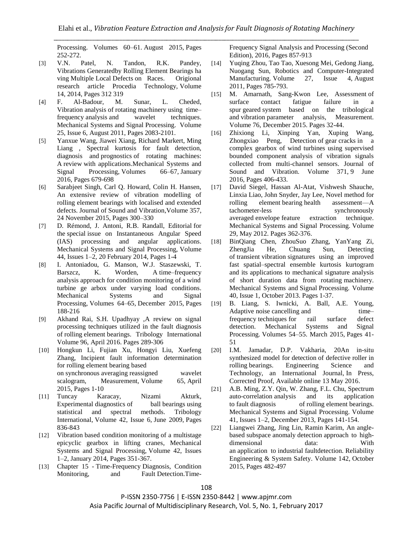Processing. Volumes 60–61. August 2015, Pages 252-272.

- [3] V.N. Patel, N. Tandon, R.K. Pandey, Vibrations [Generatedby](http://www.sciencedirect.com/science/article/pii/S2212017314000772) Rolling Element Bearings ha ving Multiple Local Defects [on Races.](http://www.sciencedirect.com/science/article/pii/S2212017314000772) Origional research article Procedia Technology, Volume 14, 2014, Pages 312 319
- [4] F. Al-Badour, M. Sunar, L. Cheded, Vibration analysis of rotating machinery [using time–](http://www.sciencedirect.com/science/article/pii/S0888327011000276) frequency analysis [and wavelet techniques.](http://www.sciencedirect.com/science/article/pii/S0888327011000276)  Mechanical Systems and Signal Processing. Volume 25, Issue 6, August 2011, Pages 2083-2101.
- [5] Yanxue Wang, Jiawei Xiang, Richard Markert, Ming Liang , [Spectral kurtosis for fault detection,](http://www.sciencedirect.com/science/article/pii/S0888327015002897)  diagnosis and prognostics [of rotating machines:](http://www.sciencedirect.com/science/article/pii/S0888327015002897)  A review [with applications.](http://www.sciencedirect.com/science/article/pii/S0888327015002897)Mechanical Systems and Signal Processing, Volumes 66–67, January 2016, Pages 679-698
- [6] Sarabjeet Singh, Carl Q. Howard, Colin H. Hansen, An extensive review of vibration modelling of rolling element bearings with localised and extended defects. [Journal of Sound and Vibration](http://www.sciencedirect.com/science/journal/0022460X)[,Volume 357,](http://www.sciencedirect.com/science/journal/0022460X/357/supp/C) 24 November 2015, Pages 300–330
- [7] D. Rémond, J. Antoni, R.B. Randall, [Editorial](http://www.sciencedirect.com/science/article/pii/S0888327013006031) for the special [issue on Instantaneous Angular Speed](http://www.sciencedirect.com/science/article/pii/S0888327013006031)  (IAS) processing [and angular applications.](http://www.sciencedirect.com/science/article/pii/S0888327013006031)  Mechanical Systems and Signal Processing, Volume 44, Issues 1–2, 20 February 2014, Pages 1-4
- [8] I. Antoniadou, G. Manson, W.J. Staszewski, T. Barszcz, K. Worden, A time–frequency analysis approach for condition [monitoring](http://www.sciencedirect.com/science/article/pii/S0888327015000990) of a wind [turbine ge arbox under varying load conditions.](http://www.sciencedirect.com/science/article/pii/S0888327015000990)  Mechanical Systems and Signal Processing, Volumes 64–65, December 2015, Pages 188-216
- [9] Akhand Rai, S.H. Upadhyay [,A review on signal](http://www.sciencedirect.com/science/article/pii/S0301679X15006052)  [processing techniques utilized in the fault diagnosis](http://www.sciencedirect.com/science/article/pii/S0301679X15006052)  of rolling element [bearings.](http://www.sciencedirect.com/science/article/pii/S0301679X15006052) Tribology International Volume 96, April 2016. Pages 289-306
- [10] Hongkun Li, Fujian Xu, Hongyi Liu, Xuefeng Zhang, [Incipient fault information determination](http://www.sciencedirect.com/science/article/pii/S0263224114006319)  for rolling [element](http://www.sciencedirect.com/science/article/pii/S0263224114006319) bearing based on [synchronous](http://www.sciencedirect.com/science/article/pii/S0263224114006319) averaging reassigned wavelet [scalogram,](http://www.sciencedirect.com/science/article/pii/S0263224114006319) Measurement, Volume 65, April 2015, Pages 1-10
- [11] Tuncay Karacay, Nizami Akturk, [Experimental](http://www.sciencedirect.com/science/article/pii/S0301679X08002429) diagnostics of ball bearings using [statistical and spectral methods.](http://www.sciencedirect.com/science/article/pii/S0301679X08002429) Tribology International, Volume 42, Issue 6, June 2009, Pages 836-843
- [12] Vibration [based condition](http://www.sciencedirect.com/science/article/pii/S0888327013003166) monitoring of a multistage [epicyclic gearbox in lifting cranes,](http://www.sciencedirect.com/science/article/pii/S0888327013003166) Mechanical Systems and Signal Processing, Volume 42, Issues 1–2, January 2014, Pages 351-367.
- [13] Chapter 15 Time-Frequency Diagnosis, Condition [Monitoring, and Fault](http://www.sciencedirect.com/science/article/pii/B9780123984999000157) Detection.Time-

Frequency Signal Analysis and Processing (Second Edition), 2016, Pages 857-913

- [14] Yuqing Zhou, Tao Tao, Xuesong Mei, Gedong Jiang, Nuogang Sun, Robotics and Computer-Integrated Manufacturing. Volume 27, Issue 4, August 2011, Pages 785-793.
- [15] M. Amarnath, Sang-Kwon Lee, [Assessment](http://www.sciencedirect.com/science/article/pii/S0263224115004339) of [surface contact fatigue failure in a](http://www.sciencedirect.com/science/article/pii/S0263224115004339)  spur geared [system based on the tribological](http://www.sciencedirect.com/science/article/pii/S0263224115004339)  and vibration [parameter analysis,](http://www.sciencedirect.com/science/article/pii/S0263224115004339) Measurement. Volume 76, December 2015. Pages 32-44.
- [16] Zhixiong Li, Xinping Yan, Xuping Wang, Zhongxiao Peng, [Detection](http://www.sciencedirect.com/science/article/pii/S0022460X16001644) of gear cracks in a [complex gearbox of wind turbines using supervised](http://www.sciencedirect.com/science/article/pii/S0022460X16001644) [bounded component analysis of vibration signals](http://www.sciencedirect.com/science/article/pii/S0022460X16001644)  [collected from multi-channel sensors.](http://www.sciencedirect.com/science/article/pii/S0022460X16001644) Journal of Sound and Vibration. Volume 371, 9 June 2016, Pages 406-433.
- [17] David Siegel, Hassan Al-Atat, Vishwesh Shauche, Linxia Liao, John Snyder, Jay Lee, [Novel method for](http://www.sciencedirect.com/science/article/pii/S0888327012000040)  rolling element bearing [health assessment—A](http://www.sciencedirect.com/science/article/pii/S0888327012000040)  tachometer-less synchronously averaged envelope [feature extraction technique.](http://www.sciencedirect.com/science/article/pii/S0888327012000040) Mechanical Systems and Signal Processing. Volume 29, May 2012. Pages 362-376.
- [18] BinQiang Chen, ZhouSuo Zhang, YanYang Zi, ZhengJia He, Chuang Sun, [Detecting](http://www.sciencedirect.com/science/article/pii/S0888327013001659)  of transient vibration [signatures using an improved](http://www.sciencedirect.com/science/article/pii/S0888327013001659)  fast [spatial–spectral ensemble kurtosis kurtogram](http://www.sciencedirect.com/science/article/pii/S0888327013001659)  [and its applications to mechanical signature analysis](http://www.sciencedirect.com/science/article/pii/S0888327013001659)  [of short duration data from rotating](http://www.sciencedirect.com/science/article/pii/S0888327013001659) machinery. Mechanical Systems and Signal Processing. Volume 40, Issue 1, October 2013. Pages 1-37.
- [19] B. Liang, S. Iwnicki, A. Ball, A.E. Young, Adaptive noise cancelling [and time–](http://www.sciencedirect.com/science/article/pii/S0888327014002398) frequency techniques [for rail surface defect](http://www.sciencedirect.com/science/article/pii/S0888327014002398)  [detection.](http://www.sciencedirect.com/science/article/pii/S0888327014002398) Mechanical Systems and Signal Processing. Volumes 54–55. March 2015, Pages 41- 51
- [20] I.M. Jamadar, D.P. Vakharia, 2[0An in-situ](http://www.sciencedirect.com/science/article/pii/S2215098616302440)  [synthesized model for](http://www.sciencedirect.com/science/article/pii/S2215098616302440) detection of defective roller in rolling [bearings.](http://www.sciencedirect.com/science/article/pii/S2215098616302440) Engineering Science and Technology, an International Journal, In Press, Corrected Proof, Available online 13 May 2016.
- [21] A.B. Ming, Z.Y. Qin, W. Zhang, F.L. Chu, [Spectrum](http://www.sciencedirect.com/science/article/pii/S0888327013003798)  auto-correlation [analysis and its application](http://www.sciencedirect.com/science/article/pii/S0888327013003798)  to fault [diagnosis of](http://www.sciencedirect.com/science/article/pii/S0888327013003798) rolling element bearings. Mechanical Systems and Signal Processing. Volume 41, Issues 1–2, December 2013, Pages 141-154.
- [22] Liangwei Zhang, Jing Lin, Ramin Karim, [An angle](http://www.sciencedirect.com/science/article/pii/S095183201500174X)based subspace anomaly detection [approach to high](http://www.sciencedirect.com/science/article/pii/S095183201500174X)dimensional [data: With](http://www.sciencedirect.com/science/article/pii/S095183201500174X)  an application to industrial [faultdetection.](http://www.sciencedirect.com/science/article/pii/S095183201500174X) Reliability Engineering & System Safety. Volume 142, October 2015, Pages 482-497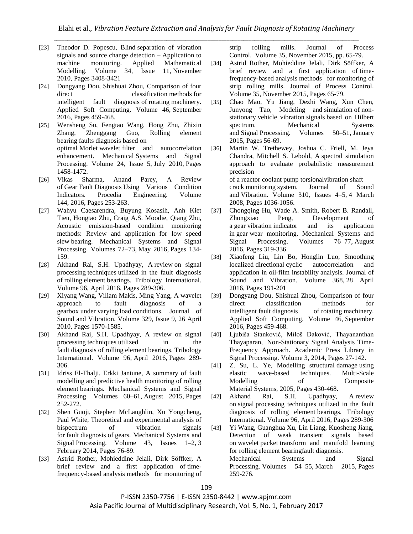- [23] Theodor D. Popescu, Blind [separation of vibration](http://www.sciencedirect.com/science/article/pii/S0307904X10000910)  [signals and source change detection –](http://www.sciencedirect.com/science/article/pii/S0307904X10000910) Application to [machine monitoring.](http://www.sciencedirect.com/science/article/pii/S0307904X10000910) Applied Mathematical Modelling. Volume 34, Issue 11, November 2010, Pages 3408-3421
- [24] Dongyang Dou, Shishuai Zhou, Comparison of four direct classification methods for intelligent fault diagnosis of rotating machinery. Applied Soft Computing. Volume 46, September 2016, Pages 459-468.
- [25] Wensheng Su, Fengtao Wang, Hong Zhu, Zhixin Zhang, Zhenggang Guo, [Rolling element](http://www.sciencedirect.com/science/article/pii/S0888327009003835) bearing faults [diagnosis](http://www.sciencedirect.com/science/article/pii/S0888327009003835) based on optimal Morlet wavelet [filter and autocorrelation](http://www.sciencedirect.com/science/article/pii/S0888327009003835)  [enhancement.](http://www.sciencedirect.com/science/article/pii/S0888327009003835) Mechanical Systems and Signal Processing. Volume 24, Issue 5, July 2010, Pages 1458-1472.
- [26] Vikas Sharma, Anand Parey, [A Review](http://www.sciencedirect.com/science/article/pii/S1877705816303484)  of Gear Fault Diagnosis [Using Various Condition](http://www.sciencedirect.com/science/article/pii/S1877705816303484)  [Indicators.](http://www.sciencedirect.com/science/article/pii/S1877705816303484) Procedia Engineering. Volume 144, 2016, Pages 253-263.
- [27] Wahyu Caesarendra, Buyung Kosasih, Anh Kiet Tieu, Hongtao Zhu, Craig A.S. Moodie, Qiang Zhu, [Acoustic emission-based condition monitoring](http://www.sciencedirect.com/science/article/pii/S088832701500480X)  [methods: Review and application for low speed](http://www.sciencedirect.com/science/article/pii/S088832701500480X)  slew [bearing.](http://www.sciencedirect.com/science/article/pii/S088832701500480X) Mechanical Systems and Signal Processing. Volumes 72-73, May 2016, Pages 134-159.
- [28] Akhand Rai, S.H. Upadhyay, A review [on signal](http://www.sciencedirect.com/science/article/pii/S0301679X15006052)  processing techniques [utilized in the fault diagnosis](http://www.sciencedirect.com/science/article/pii/S0301679X15006052)  of rolling element [bearings.](http://www.sciencedirect.com/science/article/pii/S0301679X15006052) Tribology International. Volume 96, April 2016, Pages 289-306.
- [29] Xiyang Wang, Viliam Makis, Ming Yang, [A wavelet](http://www.sciencedirect.com/science/article/pii/S0022460X09009225)  [approach to fault diagnosis of a](http://www.sciencedirect.com/science/article/pii/S0022460X09009225)  gearbox under varying load [conditions.](http://www.sciencedirect.com/science/article/pii/S0022460X09009225) Journal of Sound and Vibration. Volume 329, Issue 9, 26 April 2010, Pages 1570-1585.
- [30] Akhand Rai, S.H. Upadhyay, [A review on signal](http://www.sciencedirect.com/science/article/pii/S0301679X15006052)  processing techniques utilized in the fault diagnosis [of rolling element](http://www.sciencedirect.com/science/article/pii/S0301679X15006052) bearings. Tribology International. Volume 96, April 2016, Pages 289- 306.
- [31] Idriss El-Thalji, Erkki Jantune, [A summary of fault](http://www.sciencedirect.com/science/article/pii/S0888327015000813)  [modelling and predictive health](http://www.sciencedirect.com/science/article/pii/S0888327015000813) monitoring of rolling element [bearings.](http://www.sciencedirect.com/science/article/pii/S0888327015000813) Mechanical Systems and Signal Processing. Volumes 60–61, August 2015, Pages 252-272.
- [32] Shen Guoji, Stephen McLaughlin, Xu Yongcheng, Paul White, [Theoretical and experimental analysis of](http://www.sciencedirect.com/science/article/pii/S0888327013004342)  [bispectrum of vibration signals](http://www.sciencedirect.com/science/article/pii/S0888327013004342)  for fault [diagnosis](http://www.sciencedirect.com/science/article/pii/S0888327013004342) of gears. Mechanical Systems and Signal Processing. Volume 43, Issues 1–2, 3 February 2014, Pages 76-89.
- [33] Astrid Rother, Mohieddine Jelali, Dirk Söffker, [A](http://www.sciencedirect.com/science/article/pii/S0959152415001791)  [brief review and a first application of](http://www.sciencedirect.com/science/article/pii/S0959152415001791) time[frequency-based](http://www.sciencedirect.com/science/article/pii/S0959152415001791) analysis methods for monitoring of

[strip rolling mills.](http://www.sciencedirect.com/science/article/pii/S0959152415001791) Journal of Process Control. Volume 35, November 2015, pp. 65-79.

- [34] Astrid Rother, Mohieddine Jelali, Dirk Söffker, [A](http://www.sciencedirect.com/science/article/pii/S0959152415001791)  [brief review and a first application of](http://www.sciencedirect.com/science/article/pii/S0959152415001791) time[frequency-based](http://www.sciencedirect.com/science/article/pii/S0959152415001791) analysis methods for monitoring of [strip rolling mills.](http://www.sciencedirect.com/science/article/pii/S0959152415001791) Journal of Process Control. Volume 35, November 2015, Pages 65-79.
- [35] Chao Mao, Yu Jiang, Dezhi Wang, Xun Chen, Junyong Tao, [Modeling and](http://www.sciencedirect.com/science/article/pii/S0888327014001344) simulation of nonstationary vehicle vibration signals [based on Hilbert](http://www.sciencedirect.com/science/article/pii/S0888327014001344)  [spectrum.](http://www.sciencedirect.com/science/article/pii/S0888327014001344) Mechanical Systems and Signal Processing. Volumes 50–51, January 2015, Pages 56-69.
- [36] Martin W. Trethewey, Joshua C. Friell, M. Jeya Chandra, Mitchell S. Lebold, A [spectral simulation](http://www.sciencedirect.com/science/article/pii/S0022460X07006785)  [approach to evaluate probabilistic measurement](http://www.sciencedirect.com/science/article/pii/S0022460X07006785)  [precision](http://www.sciencedirect.com/science/article/pii/S0022460X07006785)  of a reactor coolant pump [torsionalvibration](http://www.sciencedirect.com/science/article/pii/S0022460X07006785) shaft crack [monitoring](http://www.sciencedirect.com/science/article/pii/S0022460X07006785) system. Journal of Sound

and Vibration. Volume 310, Issues 4–5, 4 March 2008, Pages 1036-1056.

- [37] Chongqing Hu, Wade A. Smith, Robert B. Randall, Zhongxiao Peng, [Development of](http://www.sciencedirect.com/science/article/pii/S0888327016000200)  a gear vibration [indicator and its application](http://www.sciencedirect.com/science/article/pii/S0888327016000200)  in gear [wear monitoring.](http://www.sciencedirect.com/science/article/pii/S0888327016000200) Mechanical Systems and Signal Processing. Volumes 76–77, August 2016, Pages 319-336.
- [38] Xiaofeng Liu, Lin Bo, Honglin Luo, [Smoothing](http://www.sciencedirect.com/science/article/pii/S0022460X16000419)  localized directional [cyclic autocorrelation and](http://www.sciencedirect.com/science/article/pii/S0022460X16000419)  [application in oil-film instability](http://www.sciencedirect.com/science/article/pii/S0022460X16000419) analysis. Journal of Sound and Vibration. Volume 368, 28 April 2016, Pages 191-201
- [39] Dongyang Dou, Shishuai Zhou, [Comparison of four](http://www.sciencedirect.com/science/article/pii/S1568494616302162)  [direct classification methods for](http://www.sciencedirect.com/science/article/pii/S1568494616302162)  intelligent fault [diagnosis of](http://www.sciencedirect.com/science/article/pii/S1568494616302162) rotating machinery. Applied Soft Computing. Volume 46, September 2016, Pages 459-468.
- [40] [Ljubiša Stanković, Miloš Daković, Thayananthan](http://www.sciencedirect.com/science/article/pii/B9780124115972000035)  [Thayaparan, Non-Stationary Signal Analysis Time-](http://www.sciencedirect.com/science/article/pii/B9780124115972000035)[Frequency Approach.](http://www.sciencedirect.com/science/article/pii/B9780124115972000035) Academic Press Library in Signal Processing. Volume 3, 2014, Pages 27-142[.](http://www.sciencedirect.com/science/article/pii/B9781855739369500151)
- [41] [Z. Su, L. Ye, Modelling structural](http://www.sciencedirect.com/science/article/pii/B9781855739369500151) damage using [elastic wave-based techniques.](http://www.sciencedirect.com/science/article/pii/B9781855739369500151) Multi-Scale Modelling of Composite Material Systems, 2005, Pages 430-468.
- [42] Akhand Rai, S.H. Upadhyay, A [review](http://www.sciencedirect.com/science/article/pii/S0301679X15006052)  on signal [processing techniques utilized in the fault](http://www.sciencedirect.com/science/article/pii/S0301679X15006052)  [diagnosis of rolling element](http://www.sciencedirect.com/science/article/pii/S0301679X15006052) bearings. Tribology International. Volume 96, April 2016, Pages 289-306
- [43] Yi Wang, Guanghua Xu, Lin Liang, Kuosheng Jiang, [Detection of weak transient signals based](http://www.sciencedirect.com/science/article/pii/S0888327014003446)  on wavelet packet [transform and manifold](http://www.sciencedirect.com/science/article/pii/S0888327014003446) learning for rolling element [bearingfault](http://www.sciencedirect.com/science/article/pii/S0888327014003446) diagnosis. Mechanical Systems and Signal
	- Processing. Volumes 54–55, March 2015, Pages 259-276.

P-ISSN 2350-7756 | E-ISSN 2350-8442 | www.apjmr.com Asia Pacific Journal of Multidisciplinary Research, Vol. 5, No. 1, February 2017